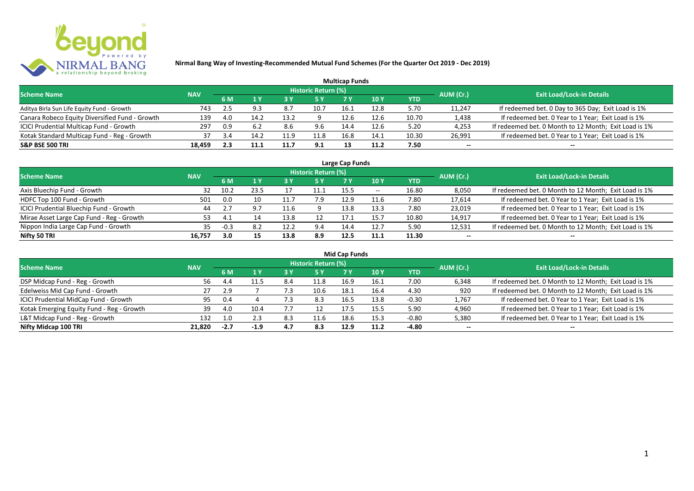

|                                                |            |     |      |      |                            | <b>Multicap Funds</b> |      |            |           |                                                       |
|------------------------------------------------|------------|-----|------|------|----------------------------|-----------------------|------|------------|-----------|-------------------------------------------------------|
| <b>Scheme Name</b>                             | <b>NAV</b> |     |      |      | <b>Historic Return (%)</b> |                       |      |            | AUM (Cr.) | <b>Exit Load/Lock-in Details</b>                      |
|                                                |            | 6 M |      |      |                            |                       | 10 Y | <b>YTD</b> |           |                                                       |
| Aditya Birla Sun Life Equity Fund - Growth     | 743        | 2.5 |      | 8.7  | 10.7                       | 16.1                  | 12.8 | 5.70       | 11,247    | If redeemed bet. 0 Day to 365 Day; Exit Load is 1%    |
| Canara Robeco Equity Diversified Fund - Growth | 139        | 4.0 | 14.2 | 13.2 |                            | 12.6                  | 12.6 | 10.70      | 1,438     | If redeemed bet. 0 Year to 1 Year; Exit Load is 1%    |
| ICICI Prudential Multicap Fund - Growth        | 297        | 0.9 |      | 8.6  | 9.6                        | 14.4                  | 12.6 | 5.20       | 4,253     | If redeemed bet. 0 Month to 12 Month; Exit Load is 1% |
| Kotak Standard Multicap Fund - Reg - Growth    | 37         | 3.4 | 14.7 | 11.9 | 11.8                       | 16.8                  | 14.1 | 10.30      | 26,991    | If redeemed bet. 0 Year to 1 Year; Exit Load is 1%    |
| <b>S&amp;P BSE 500 TRI</b>                     | 18,459     | 2.3 | 11.1 | 11.7 | 9.1                        |                       | 11.2 | 7.50       | $- -$     | $- -$                                                 |

| Large Cap Funds                           |            |        |                      |      |                            |      |            |       |           |                                                       |  |  |  |
|-------------------------------------------|------------|--------|----------------------|------|----------------------------|------|------------|-------|-----------|-------------------------------------------------------|--|--|--|
| <b>Scheme Name</b>                        | <b>NAV</b> |        |                      |      | <b>Historic Return (%)</b> |      |            |       | AUM (Cr.) | <b>Exit Load/Lock-in Details</b>                      |  |  |  |
|                                           |            | 6 M    | $\sqrt{1}$ $\sqrt{}$ |      | <b>5 Y</b>                 | 7 Y  | <b>10Y</b> | YTD   |           |                                                       |  |  |  |
| Axis Bluechip Fund - Growth               | 32         | 10.2   | 23.5                 |      | 11.1                       | 15.5 | $- -$      | 16.80 | 8,050     | If redeemed bet. 0 Month to 12 Month; Exit Load is 1% |  |  |  |
| HDFC Top 100 Fund - Growth                | 501        | 0.0    | 10                   |      | 7.9                        | 12.9 | 11.6       | 7.80  | 17,614    | If redeemed bet. 0 Year to 1 Year; Exit Load is 1%    |  |  |  |
| ICICI Prudential Bluechip Fund - Growth   | 44         |        | 9.7                  | 11.6 |                            | 13.8 | 13.3       | 7.80  | 23,019    | If redeemed bet. 0 Year to 1 Year; Exit Load is 1%    |  |  |  |
| Mirae Asset Large Cap Fund - Reg - Growth | 53.        | 4. .   |                      | 13.8 |                            | 17.1 | 15.7       | 10.80 | 14,917    | If redeemed bet. 0 Year to 1 Year; Exit Load is 1%    |  |  |  |
| Nippon India Large Cap Fund - Growth      | 35.        | $-0.3$ | 8.2                  | 12.2 | 9.4                        | 14.4 | 12.7       | 5.90  | 12,531    | If redeemed bet. 0 Month to 12 Month; Exit Load is 1% |  |  |  |
| Nifty 50 TRI                              | 16.757     | 3.0    | 15                   | 13.8 | 8.9                        | 12.5 | 11.1       | 11.30 | $- -$     | $- -$                                                 |  |  |  |

| <b>Mid Cap Funds</b>                      |            |                  |        |     |                            |      |      |            |           |                                                       |  |  |  |
|-------------------------------------------|------------|------------------|--------|-----|----------------------------|------|------|------------|-----------|-------------------------------------------------------|--|--|--|
| <b>Scheme Name</b>                        | <b>NAV</b> |                  |        |     | <b>Historic Return (%)</b> |      |      |            | AUM (Cr.) | <b>Exit Load/Lock-in Details</b>                      |  |  |  |
|                                           |            | 6 M              |        |     | 5 Y                        | 7 Y  | 10 Y | <b>YTD</b> |           |                                                       |  |  |  |
| DSP Midcap Fund - Reg - Growth            | 56.        |                  |        | 8.4 | 11.8                       | 16.9 | 16.1 | 7.00       | 6,348     | If redeemed bet. 0 Month to 12 Month; Exit Load is 1% |  |  |  |
| Edelweiss Mid Cap Fund - Growth           | 27         | 2.9              |        |     | 10.6                       | 18.1 | 16.4 | 4.30       | 920       | If redeemed bet. 0 Month to 12 Month; Exit Load is 1% |  |  |  |
| ICICI Prudential MidCap Fund - Growth     | 95         | 0.4              |        | 7.3 | 8.3                        | 16.5 | 13.8 | $-0.30$    | 1,767     | If redeemed bet. 0 Year to 1 Year; Exit Load is 1%    |  |  |  |
| Kotak Emerging Equity Fund - Reg - Growth | 39         | 4.0              | 10.4   |     | 12                         | 17.5 | 15.5 | 5.90       | 4,960     | If redeemed bet. 0 Year to 1 Year; Exit Load is 1%    |  |  |  |
| L&T Midcap Fund - Reg - Growth            | 132        | 1.0 <sub>1</sub> |        | 8.3 | 11.6                       | 18.6 | 15.3 | -0.80      | 5,380     | If redeemed bet. 0 Year to 1 Year; Exit Load is 1%    |  |  |  |
| Nifty Midcap 100 TRI                      | 21.820     | $-2.7$           | $-1.9$ | 4.7 | 8.3                        | 12.9 | 11.2 | -4.80      | $- -$     | $- -$                                                 |  |  |  |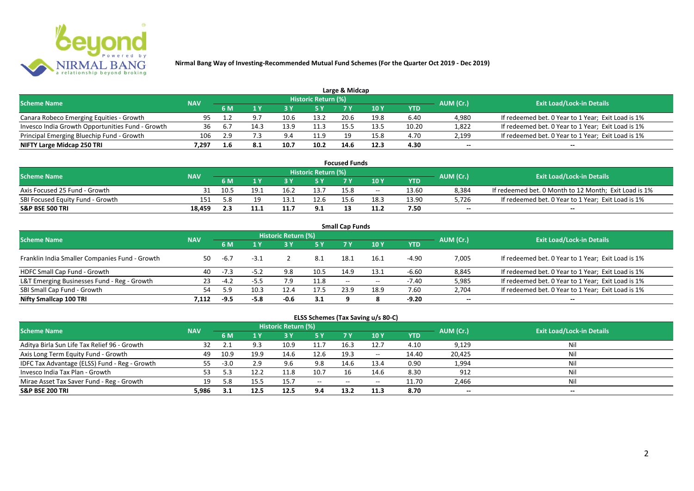

|                                                  |            |     |      |      |                            | Large & Midcap |      |       |           |                                                    |
|--------------------------------------------------|------------|-----|------|------|----------------------------|----------------|------|-------|-----------|----------------------------------------------------|
| <b>Scheme Name</b>                               | <b>NAV</b> |     |      |      | <b>Historic Return (%)</b> |                |      |       | AUM (Cr.) | <b>Exit Load/Lock-in Details</b>                   |
|                                                  |            | 6 M |      |      | 5 Y                        |                |      | YTD   |           |                                                    |
| Canara Robeco Emerging Equities - Growth         | 95         |     |      | 10.6 | 13.2                       | 20.6           | 19.8 | 6.40  | 4,980     | If redeemed bet. 0 Year to 1 Year; Exit Load is 1% |
| Invesco India Growth Opportunities Fund - Growth | 36         | 6.7 | 14.3 | 13.9 | 11.3                       |                | 13.5 | 10.20 | 1,822     | If redeemed bet. 0 Year to 1 Year; Exit Load is 1% |
| Principal Emerging Bluechip Fund - Growth        | 106        | 2.9 |      | 9.4  | 11.9                       | 10             | 15.8 | 4.70  | 2,199     | If redeemed bet. 0 Year to 1 Year; Exit Load is 1% |
| NIFTY Large Midcap 250 TRI                       | 1.297      | 1.6 |      | 10.7 | 10.2                       | 14.6           | 12.3 | 4.30  | $- -$     | $- -$                                              |

| <b>Focused Funds</b>             |            |      |      |      |                            |      |       |       |           |                                                       |  |  |  |
|----------------------------------|------------|------|------|------|----------------------------|------|-------|-------|-----------|-------------------------------------------------------|--|--|--|
| <b>Scheme Name</b>               | <b>NAV</b> |      |      |      | <b>Historic Return (%)</b> |      |       |       | AUM (Cr.) | <b>Exit Load/Lock-in Details</b>                      |  |  |  |
|                                  |            | 6 M  |      |      | 5 Y                        |      | 10 Y  | YTD   |           |                                                       |  |  |  |
| Axis Focused 25 Fund - Growth    |            | 10.5 | 19.1 | 16.2 | 13.7                       | 15.8 | $- -$ | 13.60 | 8,384     | If redeemed bet. 0 Month to 12 Month; Exit Load is 1% |  |  |  |
| SBI Focused Equity Fund - Growth | 151        | 5.8  | 10.  | 13.: | 12.6                       | 156  | 18.3  | 13.90 | 5,726     | If redeemed bet. 0 Year to 1 Year; Exit Load is 1%    |  |  |  |
| <b>S&amp;P BSE 500 TRI</b>       | 18.459     |      | 11.1 | 11.  | 9.1                        |      |       | 7.50  | $-$       | $-$                                                   |  |  |  |

| <b>Small Cap Funds</b>                         |            |        |        |                            |      |                          |            |            |           |                                                    |  |  |  |
|------------------------------------------------|------------|--------|--------|----------------------------|------|--------------------------|------------|------------|-----------|----------------------------------------------------|--|--|--|
| <b>Scheme Name</b>                             | <b>NAV</b> |        |        | <b>Historic Return (%)</b> |      |                          |            |            | AUM (Cr.) | <b>Exit Load/Lock-in Details</b>                   |  |  |  |
|                                                |            | 6 M    |        |                            | 5 Y  | 7V                       | <b>10Y</b> | <b>YTD</b> |           |                                                    |  |  |  |
| Franklin India Smaller Companies Fund - Growth | 50         | -6.7   | $-3.1$ |                            | 8.1  | 18.1                     | 16.1       | $-4.90$    | 7,005     | If redeemed bet. 0 Year to 1 Year; Exit Load is 1% |  |  |  |
| HDFC Small Cap Fund - Growth                   | 40         | $-7.3$ | $-5.2$ | 9.8                        | 10.5 | 14.9                     | 13.1       | $-6.60$    | 8,845     | If redeemed bet. 0 Year to 1 Year; Exit Load is 1% |  |  |  |
| L&T Emerging Businesses Fund - Reg - Growth    | 23         | $-4.2$ | $-5.5$ | $7.9^{\circ}$              | 11.8 | $\overline{\phantom{a}}$ | $- -$      | -7.40      | 5,985     | If redeemed bet. 0 Year to 1 Year; Exit Load is 1% |  |  |  |
| SBI Small Cap Fund - Growth                    |            | 5.9    | 10.3   | 12.4                       | 17.5 | 23.9                     | 18.9       | 7.60       | 2,704     | If redeemed bet. 0 Year to 1 Year; Exit Load is 1% |  |  |  |
| Nifty Smallcap 100 TRI                         | 7.112      | $-9.5$ | $-5.8$ | $-0.6$                     | 3.1  |                          |            | $-9.20$    | $- -$     | $- -$                                              |  |  |  |

## **ELSS Schemes (Tax Saving u/s 80-C)**

| <b>Scheme Name</b>                            | <b>NAV</b> |        |      | <b>Historic Return (%)</b> |           |       |            |       | AUM (Cr.) | <b>Exit Load/Lock-in Details</b> |
|-----------------------------------------------|------------|--------|------|----------------------------|-----------|-------|------------|-------|-----------|----------------------------------|
|                                               |            | 6 M    |      |                            | <b>5Y</b> | 7 Y   | <b>10Y</b> | YTD   |           |                                  |
| Aditya Birla Sun Life Tax Relief 96 - Growth  |            |        |      | 10.9                       | 11.7      | 16.3  | 12.7       | 4.10  | 9,129     | Nil                              |
| Axis Long Term Equity Fund - Growth           | 49         | 10.9   | 19.9 | 14.6                       | 12.6      | 19.3  | $- -$      | 14.40 | 20,425    | Nil                              |
| IDFC Tax Advantage (ELSS) Fund - Reg - Growth | 55         | $-3.0$ | 2.9  | 9.6                        | 9.8       | 14.6  | 13.4       | 0.90  | 1,994     | Nil                              |
| Invesco India Tax Plan - Growth               |            |        | 12.2 | 11.8                       | 10.7      |       | 14.6       | 8.30  | 912       | Nil                              |
| Mirae Asset Tax Saver Fund - Reg - Growth     | 19         | 5.8    |      | 15.7                       | $  \,$    | $- -$ | $- -$      | 11.70 | 2,466     | Nil                              |
| <b>S&amp;P BSE 200 TRI</b>                    | 5.986      | 3.1    | 12.5 | 12.5                       | 9.4       | 13.2  | 11.3       | 8.70  | $- -$     | $- -$                            |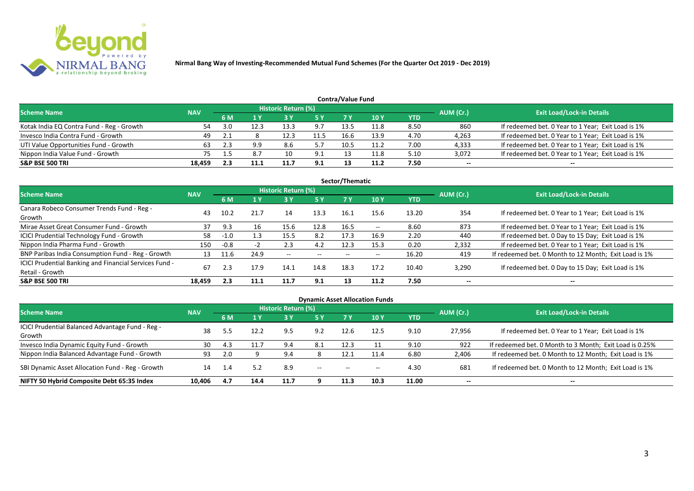

| Contra/Value Fund                         |            |     |      |                            |            |      |            |      |           |                                                    |  |  |  |  |
|-------------------------------------------|------------|-----|------|----------------------------|------------|------|------------|------|-----------|----------------------------------------------------|--|--|--|--|
| <b>Scheme Name</b>                        | <b>NAV</b> |     |      | <b>Historic Return (%)</b> |            |      |            |      | AUM (Cr.) | <b>Exit Load/Lock-in Details</b>                   |  |  |  |  |
|                                           |            | 6 M |      |                            | <b>5 Y</b> | 7 V  | <b>10Y</b> | YTD  |           |                                                    |  |  |  |  |
| Kotak India EQ Contra Fund - Reg - Growth |            |     | 12.3 | 13.3                       | 9.7        | 13.5 | 11.8       | 8.50 | 860       | If redeemed bet. 0 Year to 1 Year; Exit Load is 1% |  |  |  |  |
| Invesco India Contra Fund - Growth        | 49         |     |      | 12.3                       | 11.5       | 16.6 | 13.9       | 4.70 | 4,263     | If redeemed bet. 0 Year to 1 Year; Exit Load is 1% |  |  |  |  |
| UTI Value Opportunities Fund - Growth     | 63         |     | 9.9  | 8.6                        |            | 10.5 | 11.2       | 7.00 | 4,333     | If redeemed bet. 0 Year to 1 Year; Exit Load is 1% |  |  |  |  |
| Nippon India Value Fund - Growth          | 75.        |     | 8.7  | 10                         | 9.1        |      | 11.8       | 5.10 | 3,072     | If redeemed bet. 0 Year to 1 Year; Exit Load is 1% |  |  |  |  |
| <b>S&amp;P BSE 500 TRI</b>                | 18.459     |     |      | 11.                        | 9.1        |      | 11.2       | 7.50 | $- -$     | $- -$                                              |  |  |  |  |

| Sector/Thematic                                                           |            |        |      |                          |            |      |                          |            |           |                                                       |  |  |  |  |
|---------------------------------------------------------------------------|------------|--------|------|--------------------------|------------|------|--------------------------|------------|-----------|-------------------------------------------------------|--|--|--|--|
| <b>Scheme Name</b>                                                        | <b>NAV</b> |        |      | Historic Return (%)      |            |      |                          |            | AUM (Cr.) | <b>Exit Load/Lock-in Details</b>                      |  |  |  |  |
|                                                                           |            | 6 M    | 1 Y  | <b>3Y</b>                | <b>5 Y</b> | 7 Y  | <b>10Y</b>               | <b>YTD</b> |           |                                                       |  |  |  |  |
| Canara Robeco Consumer Trends Fund - Reg -<br>Growth                      | 43         | 10.2   | 21.7 | 14                       | 13.3       | 16.1 | 15.6                     | 13.20      | 354       | If redeemed bet. 0 Year to 1 Year; Exit Load is 1%    |  |  |  |  |
| Mirae Asset Great Consumer Fund - Growth                                  | 37         | 9.3    | 16   | 15.6                     | 12.8       | 16.5 | $- -$                    | 8.60       | 873       | If redeemed bet. 0 Year to 1 Year; Exit Load is 1%    |  |  |  |  |
| <b>ICICI Prudential Technology Fund - Growth</b>                          | 58         | $-1.0$ | 1.3  | 15.5                     | 8.2        | 17.3 | 16.9                     | 2.20       | 440       | If redeemed bet. 0 Day to 15 Day; Exit Load is 1%     |  |  |  |  |
| Nippon India Pharma Fund - Growth                                         | 150        | $-0.8$ |      | 2.3                      | 4.2        | 12.3 | 15.3                     | 0.20       | 2,332     | If redeemed bet. 0 Year to 1 Year; Exit Load is 1%    |  |  |  |  |
| BNP Paribas India Consumption Fund - Reg - Growth                         | 13         | 11.6   | 24.9 | $\overline{\phantom{a}}$ | $- -$      | --   | $\overline{\phantom{a}}$ | 16.20      | 419       | If redeemed bet. 0 Month to 12 Month; Exit Load is 1% |  |  |  |  |
| ICICI Prudential Banking and Financial Services Fund -<br>Retail - Growth | 67         | 2.3    | 17.9 | 14.1                     | 14.8       | 18.3 | 17.2                     | 10.40      | 3,290     | If redeemed bet. 0 Day to 15 Day; Exit Load is 1%     |  |  |  |  |
| <b>S&amp;P BSE 500 TRI</b>                                                | 18.459     | 2.3    | 11.1 | 11.7                     | 9.1        | 13   | 11.2                     | 7.50       | --        | $\overline{\phantom{a}}$                              |  |  |  |  |

| <b>Dynamic Asset Allocation Funds</b>                      |            |                |      |                            |         |                          |            |            |           |                                                         |  |  |  |
|------------------------------------------------------------|------------|----------------|------|----------------------------|---------|--------------------------|------------|------------|-----------|---------------------------------------------------------|--|--|--|
| Scheme Name                                                | <b>NAV</b> |                |      | <b>Historic Return (%)</b> |         |                          |            |            |           | <b>Exit Load/Lock-in Details</b>                        |  |  |  |
|                                                            |            | <b>6M</b>      | 1 Y  | 3 Y                        | 5 Y     | <b>7Y</b>                | <b>10Y</b> | <b>YTD</b> | AUM (Cr.) |                                                         |  |  |  |
| ICICI Prudential Balanced Advantage Fund - Reg -<br>Growth | 38         |                | 12.2 | 9.5                        | 9.2     | 12.6                     | 12.5       | 9.10       | 27,956    | If redeemed bet. 0 Year to 1 Year; Exit Load is 1%      |  |  |  |
| Invesco India Dynamic Equity Fund - Growth                 | 30         | 4.3            | 11.7 | 9.4                        | 8.1     | 12.3                     |            | 9.10       | 922       | If redeemed bet. 0 Month to 3 Month; Exit Load is 0.25% |  |  |  |
| Nippon India Balanced Advantage Fund - Growth              | 93         | 2.0            |      | 9.4                        |         | ذ.12                     | 11.4       | 6.80       | 2,406     | If redeemed bet. 0 Month to 12 Month; Exit Load is 1%   |  |  |  |
| SBI Dynamic Asset Allocation Fund - Reg - Growth           | 14         | $\mathbf{1.4}$ | 5.2  | 8.9                        | $-  \,$ | $\overline{\phantom{a}}$ | $- -$      | 4.30       | 681       | If redeemed bet. 0 Month to 12 Month; Exit Load is 1%   |  |  |  |
| NIFTY 50 Hybrid Composite Debt 65:35 Index                 | 10,406     | 4.7            | 14.4 | 11.7                       |         | 11.3                     | 10.3       | 11.00      | $- -$     | $- -$                                                   |  |  |  |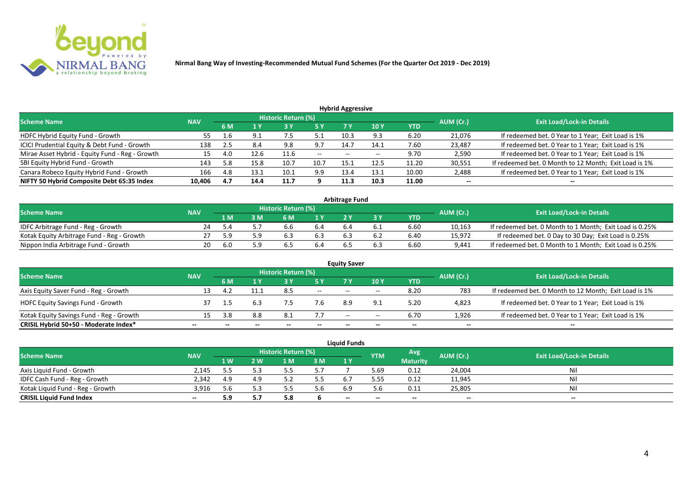

| <b>Hybrid Aggressive</b>                        |            |     |      |                            |               |       |       |            |           |                                                       |  |  |  |  |
|-------------------------------------------------|------------|-----|------|----------------------------|---------------|-------|-------|------------|-----------|-------------------------------------------------------|--|--|--|--|
| <b>Scheme Name</b>                              | <b>NAV</b> |     |      | <b>Historic Return (%)</b> |               |       |       |            | AUM (Cr.) | <b>Exit Load/Lock-in Details</b>                      |  |  |  |  |
|                                                 |            | 6 M | 1 Y  | <b>3 Y</b>                 | <b>5 Y</b>    | 7 Y   | 10 Y  | <b>YTD</b> |           |                                                       |  |  |  |  |
| HDFC Hybrid Equity Fund - Growth                | 55         | 1.b | 9.1  | 7.5                        | ے .           | 10.3  | 9.3   | 6.20       | 21,076    | If redeemed bet. 0 Year to 1 Year; Exit Load is 1%    |  |  |  |  |
| ICICI Prudential Equity & Debt Fund - Growth    | 138        | 2.5 | 8.4  | 9.8                        | 9.7           | 14.7  | 14.1  | 7.60       | 23,487    | If redeemed bet. 0 Year to 1 Year; Exit Load is 1%    |  |  |  |  |
| Mirae Asset Hybrid - Equity Fund - Reg - Growth | 15         | 4.0 | 12.6 | 11.6                       | $\sim$ $\sim$ | $- -$ | $- -$ | 9.70       | 2,590     | If redeemed bet. 0 Year to 1 Year; Exit Load is 1%    |  |  |  |  |
| SBI Equity Hybrid Fund - Growth                 | 143        | 5.8 | 15.8 | 10.7                       | 10.7          | 15.   | 12.5  | 11.20      | 30,551    | If redeemed bet. 0 Month to 12 Month; Exit Load is 1% |  |  |  |  |
| Canara Robeco Equity Hybrid Fund - Growth       | 166        | 4.8 | 13.1 | 10.1                       | 9.9           | 13.4  | 13.1  | 10.00      | 2,488     | If redeemed bet. 0 Year to 1 Year; Exit Load is 1%    |  |  |  |  |
| NIFTY 50 Hybrid Composite Debt 65:35 Index      | 10,406     | 4.7 | 14.4 | 11.7                       |               | 11.3  | 10.3  | 11.00      | $- -$     | $- -$                                                 |  |  |  |  |

| <b>Arbitrage Fund</b>                      |            |      |     |                            |     |  |  |            |           |                                                         |  |  |  |
|--------------------------------------------|------------|------|-----|----------------------------|-----|--|--|------------|-----------|---------------------------------------------------------|--|--|--|
| <b>Scheme Name</b>                         | <b>NAV</b> |      |     | <b>Historic Return (%)</b> |     |  |  |            | AUM (Cr.) | <b>Exit Load/Lock-in Details</b>                        |  |  |  |
|                                            |            | 1 M  | M   | ና M                        | 1 V |  |  | <b>YTD</b> |           |                                                         |  |  |  |
| IDFC Arbitrage Fund - Reg - Growth         |            |      |     |                            |     |  |  | 6.60       | 10,163    | If redeemed bet. 0 Month to 1 Month; Exit Load is 0.25% |  |  |  |
| Kotak Equity Arbitrage Fund - Reg - Growth |            |      | ב ם |                            | 6.3 |  |  | 6.40       | 15,972    | If redeemed bet. 0 Day to 30 Day; Exit Load is 0.25%    |  |  |  |
| Nippon India Arbitrage Fund - Growth       | 20.        | -6.C | ב ם |                            |     |  |  | 6.60       | 9,441     | If redeemed bet. 0 Month to 1 Month; Exit Load is 0.25% |  |  |  |

|                                          |            |       |     |                     |                          | <b>Equity Saver</b>      |       |      |           |                                                       |
|------------------------------------------|------------|-------|-----|---------------------|--------------------------|--------------------------|-------|------|-----------|-------------------------------------------------------|
| <b>Scheme Name</b>                       | <b>NAV</b> |       |     | Historic Return (%) |                          |                          |       |      | AUM (Cr.) | <b>Exit Load/Lock-in Details</b>                      |
|                                          |            | 6 M   | 10Y |                     | <b>YTD</b>               |                          |       |      |           |                                                       |
| Axis Equity Saver Fund - Reg - Growth    |            |       |     | 8.5                 | $\overline{\phantom{a}}$ | $-$                      | $-$   | 8.20 | 783       | If redeemed bet. 0 Month to 12 Month; Exit Load is 1% |
| <b>HDFC Equity Savings Fund - Growth</b> |            |       |     |                     | 7.6                      | 8.9                      |       | 5.20 | 4,823     | If redeemed bet. 0 Year to 1 Year; Exit Load is 1%    |
| Kotak Equity Savings Fund - Reg - Growth |            | ર પ્ર | 8.8 | -8.1                | 7.7                      | $\overline{\phantom{a}}$ | $- -$ | 6.70 | 1,926     | If redeemed bet. 0 Year to 1 Year; Exit Load is 1%    |
| CRISIL Hybrid 50+50 - Moderate Index*    | --         |       |     | $- -$               | --                       | --                       | $- -$ |      | $- -$     | $- -$                                                 |

| <b>Liquid Funds</b>              |            |      |     |                            |     |       |            |                 |           |                                  |  |  |
|----------------------------------|------------|------|-----|----------------------------|-----|-------|------------|-----------------|-----------|----------------------------------|--|--|
| <b>Scheme Name</b>               | <b>NAV</b> |      |     | <b>Historic Return (%)</b> |     |       | <b>YTM</b> | Avg             | AUM (Cr.) | <b>Exit Load/Lock-in Details</b> |  |  |
|                                  |            | 1 W. | 2 W | 1 M                        | 3M  | 1 Y   |            | <b>Maturity</b> |           |                                  |  |  |
| Axis Liquid Fund - Growth        | 2.145      |      |     |                            | 5.7 |       | 5.69       | 0.12            | 24,004    | Nil                              |  |  |
| IDFC Cash Fund - Reg - Growth    | 2.342      | 4.9  |     |                            | 5.5 |       | 5.55       | 0.12            | 11,945    | Nil                              |  |  |
| Kotak Liquid Fund - Reg - Growth | 3.916      |      |     |                            | 5.6 | 6.9   | 5.6        | 0.11            | 25,805    | Nil                              |  |  |
| <b>CRISIL Liquid Fund Index</b>  | $- -$      | 5.9  |     | -                          |     | $- -$ | --         | $- -$           | $- -$     | $- -$                            |  |  |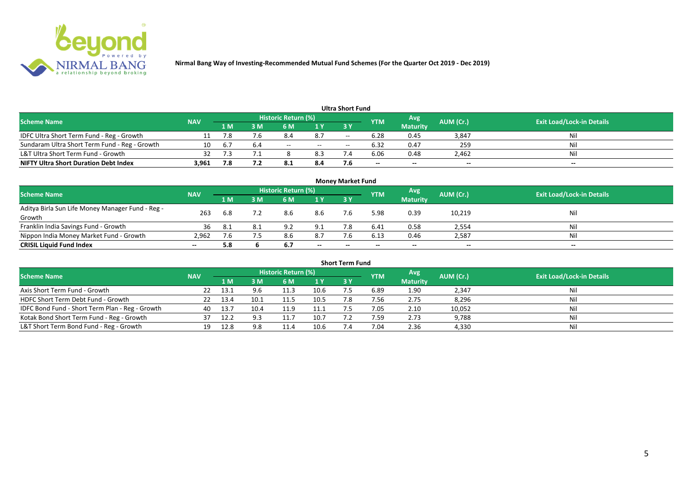

|                                               |            |         |     |                            |                          | Ultra Short Fund         |                          |                 |           |                                  |
|-----------------------------------------------|------------|---------|-----|----------------------------|--------------------------|--------------------------|--------------------------|-----------------|-----------|----------------------------------|
| <b>Scheme Name</b>                            | <b>NAV</b> |         |     | <b>Historic Return (%)</b> |                          |                          | <b>YTM</b>               | Avg             | AUM (Cr.) | <b>Exit Load/Lock-in Details</b> |
|                                               |            | 1 M     | ۱M  | 6 M                        | 1 Y                      | 3 Y                      |                          | <b>Maturity</b> |           |                                  |
| IDFC Ultra Short Term Fund - Reg - Growth     |            |         | 7.6 | 8.4                        | 8.7                      | $- -$                    | 6.28                     | 0.45            | 3,847     | Nil                              |
| Sundaram Ultra Short Term Fund - Reg - Growth | 10         | $b_{1}$ | 6.4 | $- -$                      | $\overline{\phantom{a}}$ | $\overline{\phantom{a}}$ | 6.32                     | 0.47            | 259       | Nil                              |
| L&T Ultra Short Term Fund - Growth            | 32         |         |     |                            | 8.3                      |                          | 6.06                     | 0.48            | 2,462     | Nil                              |
| <b>NIFTY Ultra Short Duration Debt Index</b>  | 3.961      | 7.8     |     |                            | 8.4                      |                          | $\overline{\phantom{a}}$ | $- -$           | $-$       | $- -$                            |

| <b>Money Market Fund</b>                                   |            |                                           |     |     |       |           |       |                 |                                  |       |  |  |
|------------------------------------------------------------|------------|-------------------------------------------|-----|-----|-------|-----------|-------|-----------------|----------------------------------|-------|--|--|
| <b>Scheme Name</b>                                         | <b>NAV</b> | Historic Return (%)<br>Avg'<br><b>YTM</b> |     |     |       |           |       | AUM (Cr.)       | <b>Exit Load/Lock-in Details</b> |       |  |  |
|                                                            |            | 1 <sub>M</sub>                            | MК  | 6 M | 1Y    | <b>3Y</b> |       | <b>Maturity</b> |                                  |       |  |  |
| Aditya Birla Sun Life Money Manager Fund - Reg -<br>Growth | 263        | 6.8                                       |     | 8.6 | 8.6   |           | 5.98  | 0.39            | 10,219                           | Nil   |  |  |
| Franklin India Savings Fund - Growth                       | 36         | 8.⊥                                       | 8.1 | 9.2 | 9.1   |           | 6.41  | 0.58            | 2,554                            | Nil   |  |  |
| Nippon India Money Market Fund - Growth                    | 2,962      |                                           |     |     | 8.7   |           | 6.13  | 0.46            | 2,587                            | Nil   |  |  |
| <b>CRISIL Liquid Fund Index</b>                            | $- -$      | 5.8                                       |     | 6.7 | $- -$ | $- -$     | $- -$ | $- -$           | $- -$                            | $- -$ |  |  |

| <b>Short Term Fund</b>                          |            |      |      |                     |      |           |            |                 |           |                                  |  |  |  |
|-------------------------------------------------|------------|------|------|---------------------|------|-----------|------------|-----------------|-----------|----------------------------------|--|--|--|
| <b>Scheme Name</b>                              | <b>NAV</b> |      |      | Historic Return (%) |      |           | <b>YTM</b> | Avg             | AUM (Cr.) | <b>Exit Load/Lock-in Details</b> |  |  |  |
|                                                 |            | 1 M  | 3 M  | 6 M                 | 1Y   | <b>3Y</b> |            | <b>Maturity</b> |           |                                  |  |  |  |
| Axis Short Term Fund - Growth                   | 22         | 13.1 |      | 11.3                | 10.6 |           | 6.89       | 1.90            | 2,347     | Nil                              |  |  |  |
| HDFC Short Term Debt Fund - Growth              | 22         | 13.4 | 10.1 | 11.5                | 10.5 | 7.8       | 7.56       | 2.75            | 8,296     | Nil                              |  |  |  |
| IDFC Bond Fund - Short Term Plan - Reg - Growth | 40         | 13.7 | 10.4 | 11.9                | 11.1 |           | 7.05       | 2.10            | 10,052    | Nil                              |  |  |  |
| Kotak Bond Short Term Fund - Reg - Growth       |            | 12.2 |      |                     | 10.7 |           | 7.59       | 2.73            | 9,788     | Nil                              |  |  |  |
| L&T Short Term Bond Fund - Reg - Growth         | 19         | 12.8 | 9.8  |                     | 10.6 |           | 7.04       | 2.36            | 4,330     | Nil                              |  |  |  |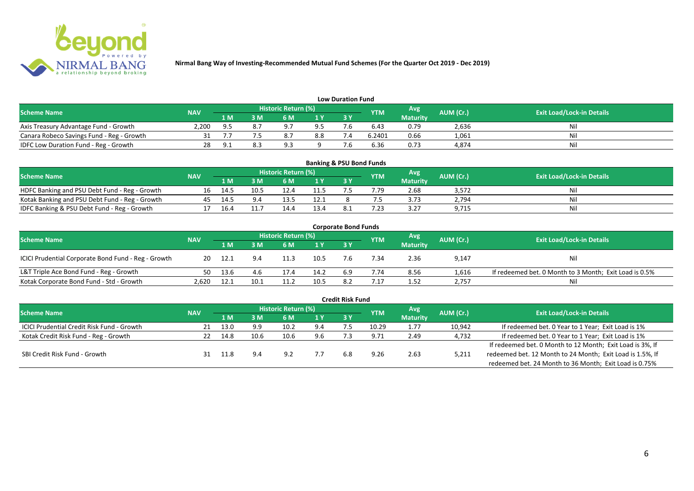

| <b>Low Duration Fund</b>                     |            |                |    |                            |                |    |            |                 |           |                                  |  |  |  |
|----------------------------------------------|------------|----------------|----|----------------------------|----------------|----|------------|-----------------|-----------|----------------------------------|--|--|--|
| <b>Scheme Name</b>                           | <b>NAV</b> |                |    | <b>Historic Return (%)</b> |                |    | <b>YTM</b> | Avg             | AUM (Cr.) | <b>Exit Load/Lock-in Details</b> |  |  |  |
|                                              |            | 1 M            | ΒM |                            | 1 <sub>Y</sub> | 3Y |            | <b>Maturity</b> |           |                                  |  |  |  |
| Axis Treasury Advantage Fund - Growth        | 2.200      | Q <sub>h</sub> |    |                            | 9.5            |    | 6.43       | 0.79            | 2,636     | Nil                              |  |  |  |
| Canara Robeco Savings Fund - Reg - Growth    |            |                |    |                            | 8.8            |    | 6.2401     | 0.66            | 1,061     | Nil                              |  |  |  |
| <b>IDFC Low Duration Fund - Reg - Growth</b> |            | Q              |    |                            |                |    | 6.36       | 0.73            | 4,874     | Nil                              |  |  |  |

| <b>Banking &amp; PSU Bond Funds</b>            |            |      |      |                            |      |           |            |                 |           |                                  |  |  |  |
|------------------------------------------------|------------|------|------|----------------------------|------|-----------|------------|-----------------|-----------|----------------------------------|--|--|--|
| <b>Scheme Name</b>                             | <b>NAV</b> |      |      | <b>Historic Return (%)</b> |      |           | <b>YTM</b> | Avg             | AUM (Cr.) | <b>Exit Load/Lock-in Details</b> |  |  |  |
|                                                |            | 1 M  |      | 6 M                        |      | <b>3Y</b> |            | <b>Maturity</b> |           |                                  |  |  |  |
| HDFC Banking and PSU Debt Fund - Reg - Growth  | 16         | 14.5 | 10.5 |                            | 11.5 |           | .79        | 2.68            | 3,572     | Nil                              |  |  |  |
| Kotak Banking and PSU Debt Fund - Reg - Growth | 45         | 14.5 | 9.4  | 13.5                       | 12.1 |           |            | 3.73            | 2,794     | Nil                              |  |  |  |
| IDFC Banking & PSU Debt Fund - Reg - Growth    |            | 16.4 |      |                            | 13.4 |           | .23        | 3.27            | 9,715     | Nil                              |  |  |  |

| <b>Corporate Bond Funds</b>                         |            |       |      |                     |      |           |            |                 |           |                                                        |  |  |
|-----------------------------------------------------|------------|-------|------|---------------------|------|-----------|------------|-----------------|-----------|--------------------------------------------------------|--|--|
| <b>Scheme Name</b>                                  | <b>NAV</b> |       |      | Historic Return (%) |      |           | <b>YTM</b> | Avg             | AUM (Cr.) | <b>Exit Load/Lock-in Details</b>                       |  |  |
|                                                     |            | 1 M   | M    | 6 M                 | 1Y   | <b>3Y</b> |            | <b>Maturity</b> |           |                                                        |  |  |
| ICICI Prudential Corporate Bond Fund - Reg - Growth | 20         | -12.1 |      | 11.3                | 10.5 |           | .34        | 2.36            | 9,147     | Nil                                                    |  |  |
| L&T Triple Ace Bond Fund - Reg - Growth             | 50         | 13.6  | 4.6  | 17.4                | 14.2 | 6.9       | 7.74       | 8.56            | 1,616     | If redeemed bet. 0 Month to 3 Month; Exit Load is 0.5% |  |  |
| Kotak Corporate Bond Fund - Std - Growth            | 2.620      | 12.1  | 10.1 |                     | 10.5 | 82        | .17        | 1.52            | 2,757     | Nil                                                    |  |  |

| <b>Credit Risk Fund</b>                           |            |      |      |                            |     |     |            |                 |           |                                                           |  |  |
|---------------------------------------------------|------------|------|------|----------------------------|-----|-----|------------|-----------------|-----------|-----------------------------------------------------------|--|--|
| <b>Scheme Name</b>                                | <b>NAV</b> |      |      | <b>Historic Return (%)</b> |     |     | <b>YTM</b> | Avg             | AUM (Cr.) | <b>Exit Load/Lock-in Details</b>                          |  |  |
|                                                   |            | 1 M. | 3 M  | 6 M                        | 1 Y | 3 Y |            | <b>Maturity</b> |           |                                                           |  |  |
| <b>ICICI Prudential Credit Risk Fund - Growth</b> | 21         | 13.0 | 9.9  | 10.2                       | 9.4 |     | 10.29      | 1.77            | 10,942    | If redeemed bet. 0 Year to 1 Year; Exit Load is 1%        |  |  |
| Kotak Credit Risk Fund - Reg - Growth             |            | 14.8 | 10.6 | 10.6                       | 9.6 |     | 9.71       | 2.49            | 4,732     | If redeemed bet. 0 Year to 1 Year; Exit Load is 1%        |  |  |
|                                                   |            |      |      |                            |     |     |            |                 |           | If redeemed bet. 0 Month to 12 Month; Exit Load is 3%, If |  |  |
| SBI Credit Risk Fund - Growth                     |            |      | 9.4  | 92                         |     | 6.8 | 9.26       | 2.63            | 5,211     | redeemed bet. 12 Month to 24 Month; Exit Load is 1.5%, If |  |  |
|                                                   |            |      |      |                            |     |     |            |                 |           | redeemed bet. 24 Month to 36 Month; Exit Load is 0.75%    |  |  |